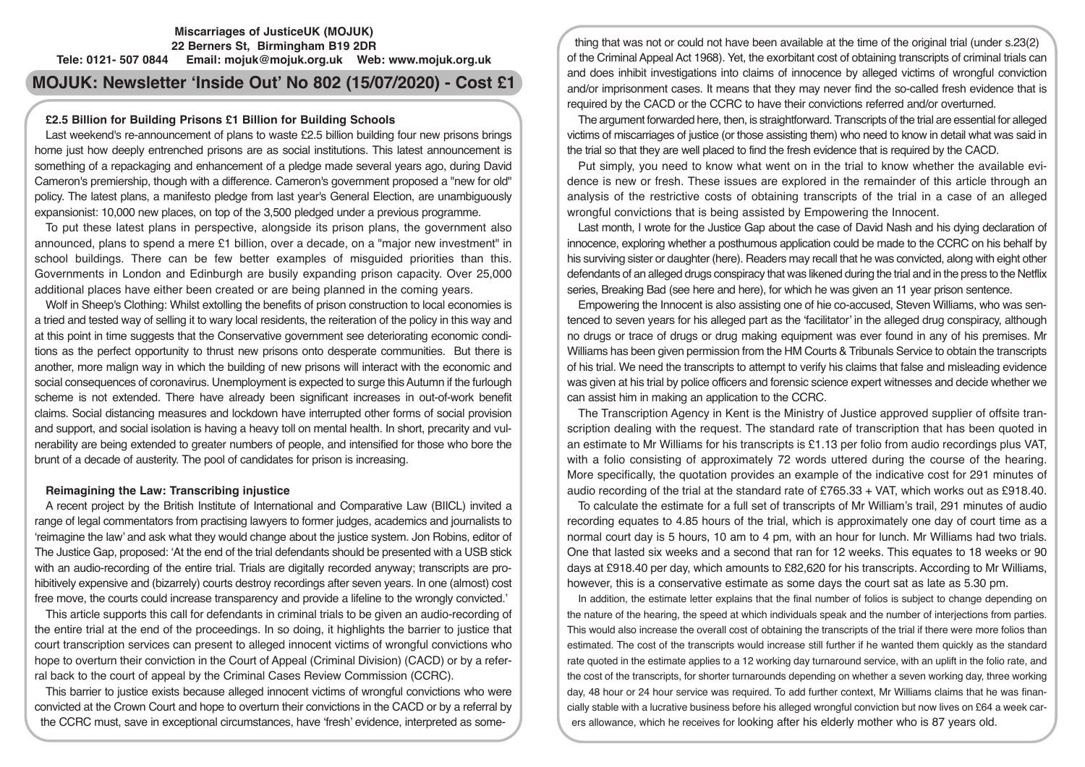# **Miscarriages of JusticeUK (MOJUK) 22 Berners St, Birmingham B19 2DR Tele: 0121- 507 0844 Email: mojuk@mojuk.org.uk Web: www.mojuk.org.uk**

# **MOJUK: Newsletter 'Inside Out' No 802 (15/07/2020) - Cost £1**

# **£2.5 Billion for Building Prisons £1 Billion for Building Schools**

Last weekend's re-announcement of plans to waste £2.5 billion building four new prisons brings home just how deeply entrenched prisons are as social institutions. This latest announcement is something of a repackaging and enhancement of a pledge made several years ago, during David Cameron's premiership, though with a difference. Cameron's government proposed a "new for old" policy. The latest plans, a manifesto pledge from last year's General Election, are unambiguously expansionist: 10,000 new places, on top of the 3,500 pledged under a previous programme.

To put these latest plans in perspective, alongside its prison plans, the government also announced, plans to spend a mere £1 billion, over a decade, on a "major new investment" in school buildings. There can be few better examples of misguided priorities than this. Governments in London and Edinburgh are busily expanding prison capacity. Over 25,000 additional places have either been created or are being planned in the coming years.

Wolf in Sheep's Clothing: Whilst extolling the benefits of prison construction to local economies is a tried and tested way of selling it to wary local residents, the reiteration of the policy in this way and at this point in time suggests that the Conservative government see deteriorating economic conditions as the perfect opportunity to thrust new prisons onto desperate communities. But there is another, more malign way in which the building of new prisons will interact with the economic and social consequences of coronavirus. Unemployment is expected to surge this Autumn if the furlough scheme is not extended. There have already been significant increases in out-of-work benefit claims. Social distancing measures and lockdown have interrupted other forms of social provision and support, and social isolation is having a heavy toll on mental health. In short, precarity and vulnerability are being extended to greater numbers of people, and intensified for those who bore the brunt of a decade of austerity. The pool of candidates for prison is increasing.

# **Reimagining the Law: Transcribing injustice**

A recent project by the British Institute of International and Comparative Law (BIICL) invited a range of legal commentators from practising lawyers to former judges, academics and journalists to 'reimagine the law' and ask what they would change about the justice system. Jon Robins, editor of The Justice Gap, proposed: 'At the end of the trial defendants should be presented with a USB stick with an audio-recording of the entire trial. Trials are digitally recorded anyway; transcripts are prohibitively expensive and (bizarrely) courts destroy recordings after seven years. In one (almost) cost free move, the courts could increase transparency and provide a lifeline to the wrongly convicted.'

This article supports this call for defendants in criminal trials to be given an audio-recording of the entire trial at the end of the proceedings. In so doing, it highlights the barrier to justice that court transcription services can present to alleged innocent victims of wrongful convictions who hope to overturn their conviction in the Court of Appeal (Criminal Division) (CACD) or by a referral back to the court of appeal by the Criminal Cases Review Commission (CCRC).

This barrier to justice exists because alleged innocent victims of wrongful convictions who were convicted at the Crown Court and hope to overturn their convictions in the CACD or by a referral by the CCRC must, save in exceptional circumstances, have 'fresh' evidence, interpreted as some-

thing that was not or could not have been available at the time of the original trial (under s.23(2) of the Criminal Appeal Act 1968). Yet, the exorbitant cost of obtaining transcripts of criminal trials can and does inhibit investigations into claims of innocence by alleged victims of wrongful conviction and/or imprisonment cases. It means that they may never find the so-called fresh evidence that is required by the CACD or the CCRC to have their convictions referred and/or overturned.

The argument forwarded here, then, is straightforward. Transcripts of the trial are essential for alleged victims of miscarriages of justice (or those assisting them) who need to know in detail what was said in the trial so that they are well placed to find the fresh evidence that is required by the CACD.

Put simply, you need to know what went on in the trial to know whether the available evidence is new or fresh. These issues are explored in the remainder of this article through an analysis of the restrictive costs of obtaining transcripts of the trial in a case of an alleged wrongful convictions that is being assisted by Empowering the Innocent.

Last month, I wrote for the Justice Gap about the case of David Nash and his dying declaration of innocence, exploring whether a posthumous application could be made to the CCRC on his behalf by his surviving sister or daughter (here). Readers may recall that he was convicted, along with eight other defendants of an alleged drugs conspiracy that was likened during the trial and in the press to the Netflix series, Breaking Bad (see here and here), for which he was given an 11 year prison sentence.

Empowering the Innocent is also assisting one of hie co-accused, Steven Williams, who was sentenced to seven years for his alleged part as the 'facilitator' in the alleged drug conspiracy, although no drugs or trace of drugs or drug making equipment was ever found in any of his premises. Mr Williams has been given permission from the HM Courts & Tribunals Service to obtain the transcripts of his trial. We need the transcripts to attempt to verify his claims that false and misleading evidence was given at his trial by police officers and forensic science expert witnesses and decide whether we can assist him in making an application to the CCRC.

The Transcription Agency in Kent is the Ministry of Justice approved supplier of offsite transcription dealing with the request. The standard rate of transcription that has been quoted in an estimate to Mr Williams for his transcripts is £1.13 per folio from audio recordings plus VAT, with a folio consisting of approximately 72 words uttered during the course of the hearing. More specifically, the quotation provides an example of the indicative cost for 291 minutes of audio recording of the trial at the standard rate of £765.33 + VAT, which works out as £918.40.

To calculate the estimate for a full set of transcripts of Mr William's trail, 291 minutes of audio recording equates to 4.85 hours of the trial, which is approximately one day of court time as a normal court day is 5 hours, 10 am to 4 pm, with an hour for lunch. Mr Williams had two trials. One that lasted six weeks and a second that ran for 12 weeks. This equates to 18 weeks or 90 days at £918.40 per day, which amounts to £82,620 for his transcripts. According to Mr Williams, however, this is a conservative estimate as some days the court sat as late as 5.30 pm.

In addition, the estimate letter explains that the final number of folios is subject to change depending on the nature of the hearing, the speed at which individuals speak and the number of interjections from parties. This would also increase the overall cost of obtaining the transcripts of the trial if there were more folios than estimated. The cost of the transcripts would increase still further if he wanted them quickly as the standard rate quoted in the estimate applies to a 12 working day turnaround service, with an uplift in the folio rate, and the cost of the transcripts, for shorter turnarounds depending on whether a seven working day, three working day, 48 hour or 24 hour service was required. To add further context, Mr Williams claims that he was financially stable with a lucrative business before his alleged wrongful conviction but now lives on £64 a week carers allowance, which he receives for looking after his elderly mother who is 87 years old.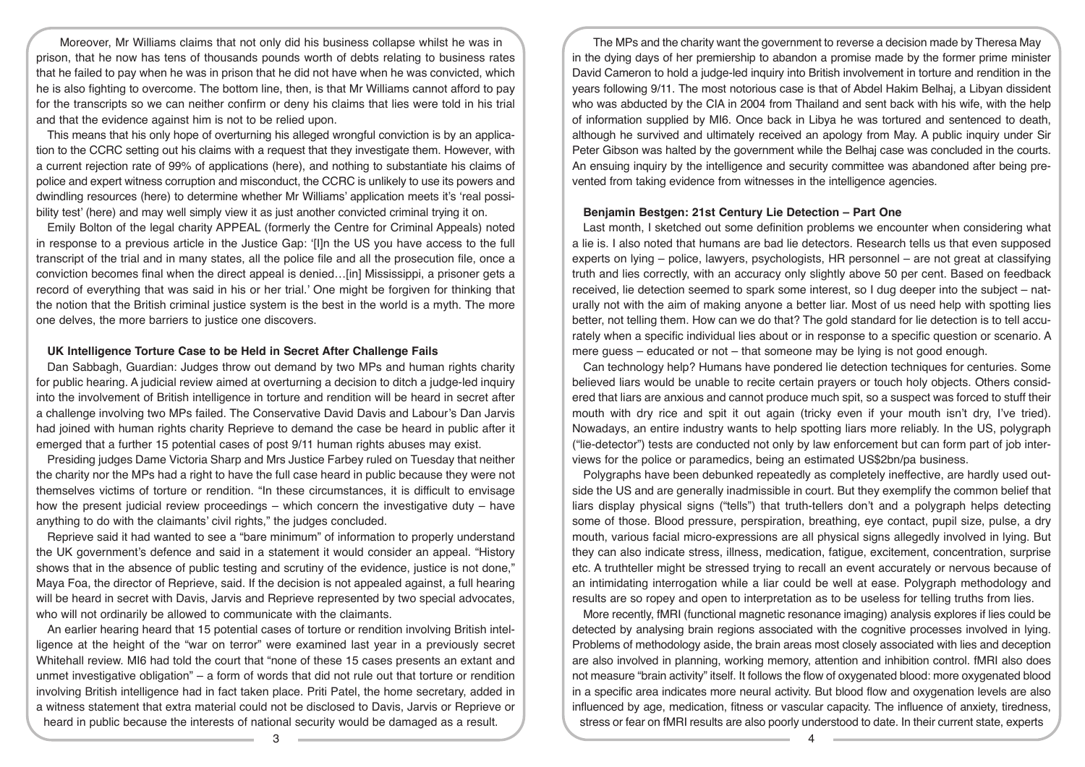Moreover, Mr Williams claims that not only did his business collapse whilst he was in prison, that he now has tens of thousands pounds worth of debts relating to business rates that he failed to pay when he was in prison that he did not have when he was convicted, which he is also fighting to overcome. The bottom line, then, is that Mr Williams cannot afford to pay for the transcripts so we can neither confirm or deny his claims that lies were told in his trial and that the evidence against him is not to be relied upon.

This means that his only hope of overturning his alleged wrongful conviction is by an application to the CCRC setting out his claims with a request that they investigate them. However, with a current rejection rate of 99% of applications (here), and nothing to substantiate his claims of police and expert witness corruption and misconduct, the CCRC is unlikely to use its powers and dwindling resources (here) to determine whether Mr Williams' application meets it's 'real possibility test' (here) and may well simply view it as just another convicted criminal trying it on.

Emily Bolton of the legal charity APPEAL (formerly the Centre for Criminal Appeals) noted in response to a previous article in the Justice Gap: '[I]n the US you have access to the full transcript of the trial and in many states, all the police file and all the prosecution file, once a conviction becomes final when the direct appeal is denied…[in] Mississippi, a prisoner gets a record of everything that was said in his or her trial.' One might be forgiven for thinking that the notion that the British criminal justice system is the best in the world is a myth. The more one delves, the more barriers to justice one discovers.

# **UK Intelligence Torture Case to be Held in Secret After Challenge Fails**

Dan Sabbagh, Guardian: Judges throw out demand by two MPs and human rights charity for public hearing. A judicial review aimed at overturning a decision to ditch a judge-led inquiry into the involvement of British intelligence in torture and rendition will be heard in secret after a challenge involving two MPs failed. The Conservative David Davis and Labour's Dan Jarvis had joined with human rights charity Reprieve to demand the case be heard in public after it emerged that a further 15 potential cases of post 9/11 human rights abuses may exist.

Presiding judges Dame Victoria Sharp and Mrs Justice Farbey ruled on Tuesday that neither the charity nor the MPs had a right to have the full case heard in public because they were not themselves victims of torture or rendition. "In these circumstances, it is difficult to envisage how the present judicial review proceedings – which concern the investigative duty – have anything to do with the claimants' civil rights," the judges concluded.

Reprieve said it had wanted to see a "bare minimum" of information to properly understand the UK government's defence and said in a statement it would consider an appeal. "History shows that in the absence of public testing and scrutiny of the evidence, justice is not done," Maya Foa, the director of Reprieve, said. If the decision is not appealed against, a full hearing will be heard in secret with Davis, Jarvis and Reprieve represented by two special advocates, who will not ordinarily be allowed to communicate with the claimants.

An earlier hearing heard that 15 potential cases of torture or rendition involving British intelligence at the height of the "war on terror" were examined last year in a previously secret Whitehall review. MI6 had told the court that "none of these 15 cases presents an extant and unmet investigative obligation" – a form of words that did not rule out that torture or rendition involving British intelligence had in fact taken place. Priti Patel, the home secretary, added in a witness statement that extra material could not be disclosed to Davis, Jarvis or Reprieve or heard in public because the interests of national security would be damaged as a result.

The MPs and the charity want the government to reverse a decision made by Theresa May in the dying days of her premiership to abandon a promise made by the former prime minister David Cameron to hold a judge-led inquiry into British involvement in torture and rendition in the years following 9/11. The most notorious case is that of Abdel Hakim Belhaj, a Libyan dissident who was abducted by the CIA in 2004 from Thailand and sent back with his wife, with the help of information supplied by MI6. Once back in Libya he was tortured and sentenced to death, although he survived and ultimately received an apology from May. A public inquiry under Sir Peter Gibson was halted by the government while the Belhaj case was concluded in the courts. An ensuing inquiry by the intelligence and security committee was abandoned after being prevented from taking evidence from witnesses in the intelligence agencies.

## **Benjamin Bestgen: 21st Century Lie Detection – Part One**

Last month, I sketched out some definition problems we encounter when considering what a lie is. I also noted that humans are bad lie detectors. Research tells us that even supposed experts on lying – police, lawyers, psychologists, HR personnel – are not great at classifying truth and lies correctly, with an accuracy only slightly above 50 per cent. Based on feedback received, lie detection seemed to spark some interest, so I dug deeper into the subject – naturally not with the aim of making anyone a better liar. Most of us need help with spotting lies better, not telling them. How can we do that? The gold standard for lie detection is to tell accurately when a specific individual lies about or in response to a specific question or scenario. A mere guess – educated or not – that someone may be lying is not good enough.

Can technology help? Humans have pondered lie detection techniques for centuries. Some believed liars would be unable to recite certain prayers or touch holy objects. Others considered that liars are anxious and cannot produce much spit, so a suspect was forced to stuff their mouth with dry rice and spit it out again (tricky even if your mouth isn't dry, I've tried). Nowadays, an entire industry wants to help spotting liars more reliably. In the US, polygraph ("lie-detector") tests are conducted not only by law enforcement but can form part of job interviews for the police or paramedics, being an estimated US\$2bn/pa business.

Polygraphs have been debunked repeatedly as completely ineffective, are hardly used outside the US and are generally inadmissible in court. But they exemplify the common belief that liars display physical signs ("tells") that truth-tellers don't and a polygraph helps detecting some of those. Blood pressure, perspiration, breathing, eye contact, pupil size, pulse, a dry mouth, various facial micro-expressions are all physical signs allegedly involved in lying. But they can also indicate stress, illness, medication, fatigue, excitement, concentration, surprise etc. A truthteller might be stressed trying to recall an event accurately or nervous because of an intimidating interrogation while a liar could be well at ease. Polygraph methodology and results are so ropey and open to interpretation as to be useless for telling truths from lies.

More recently, fMRI (functional magnetic resonance imaging) analysis explores if lies could be detected by analysing brain regions associated with the cognitive processes involved in lying. Problems of methodology aside, the brain areas most closely associated with lies and deception are also involved in planning, working memory, attention and inhibition control. fMRI also does not measure "brain activity" itself. It follows the flow of oxygenated blood: more oxygenated blood in a specific area indicates more neural activity. But blood flow and oxygenation levels are also influenced by age, medication, fitness or vascular capacity. The influence of anxiety, tiredness, stress or fear on fMRI results are also poorly understood to date. In their current state, experts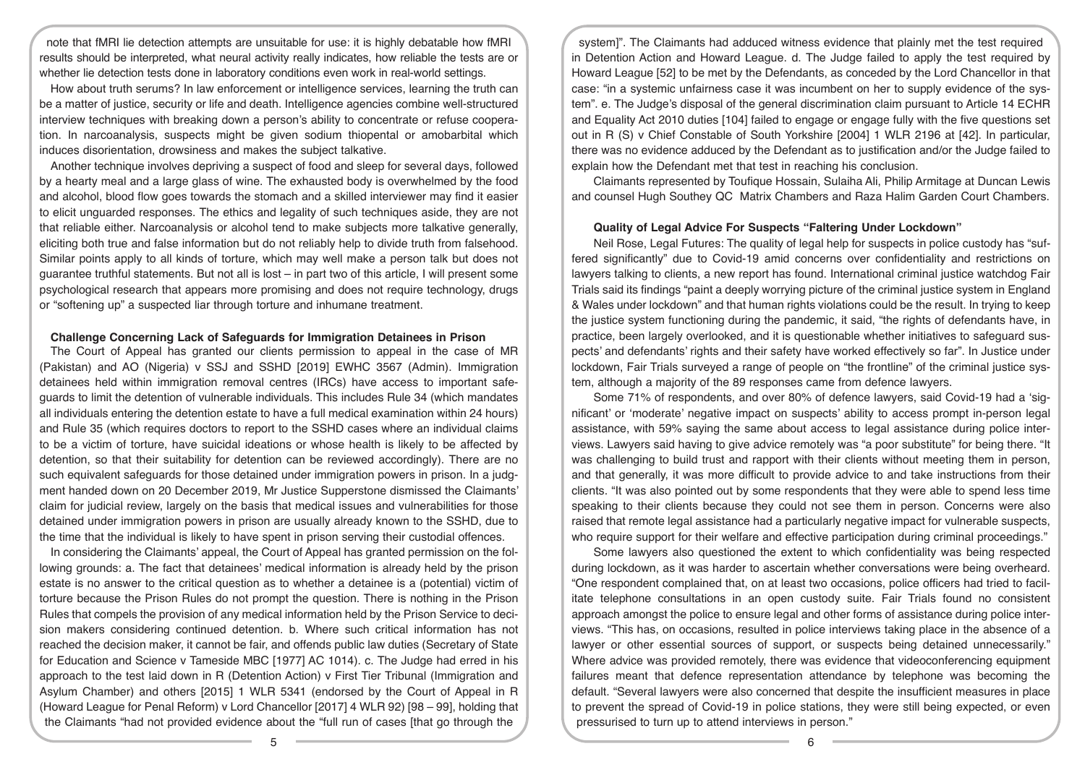note that fMRI lie detection attempts are unsuitable for use: it is highly debatable how fMRI results should be interpreted, what neural activity really indicates, how reliable the tests are or whether lie detection tests done in laboratory conditions even work in real-world settings.

How about truth serums? In law enforcement or intelligence services, learning the truth can be a matter of justice, security or life and death. Intelligence agencies combine well-structured interview techniques with breaking down a person's ability to concentrate or refuse cooperation. In narcoanalysis, suspects might be given sodium thiopental or amobarbital which induces disorientation, drowsiness and makes the subject talkative.

Another technique involves depriving a suspect of food and sleep for several days, followed by a hearty meal and a large glass of wine. The exhausted body is overwhelmed by the food and alcohol, blood flow goes towards the stomach and a skilled interviewer may find it easier to elicit unguarded responses. The ethics and legality of such techniques aside, they are not that reliable either. Narcoanalysis or alcohol tend to make subjects more talkative generally, eliciting both true and false information but do not reliably help to divide truth from falsehood. Similar points apply to all kinds of torture, which may well make a person talk but does not guarantee truthful statements. But not all is lost – in part two of this article, I will present some psychological research that appears more promising and does not require technology, drugs or "softening up" a suspected liar through torture and inhumane treatment.

#### **Challenge Concerning Lack of Safeguards for Immigration Detainees in Prison**

The Court of Appeal has granted our clients permission to appeal in the case of MR (Pakistan) and AO (Nigeria) v SSJ and SSHD [2019] EWHC 3567 (Admin). Immigration detainees held within immigration removal centres (IRCs) have access to important safeguards to limit the detention of vulnerable individuals. This includes Rule 34 (which mandates all individuals entering the detention estate to have a full medical examination within 24 hours) and Rule 35 (which requires doctors to report to the SSHD cases where an individual claims to be a victim of torture, have suicidal ideations or whose health is likely to be affected by detention, so that their suitability for detention can be reviewed accordingly). There are no such equivalent safeguards for those detained under immigration powers in prison. In a judgment handed down on 20 December 2019, Mr Justice Supperstone dismissed the Claimants' claim for judicial review, largely on the basis that medical issues and vulnerabilities for those detained under immigration powers in prison are usually already known to the SSHD, due to the time that the individual is likely to have spent in prison serving their custodial offences.

In considering the Claimants' appeal, the Court of Appeal has granted permission on the following grounds: a. The fact that detainees' medical information is already held by the prison estate is no answer to the critical question as to whether a detainee is a (potential) victim of torture because the Prison Rules do not prompt the question. There is nothing in the Prison Rules that compels the provision of any medical information held by the Prison Service to decision makers considering continued detention. b. Where such critical information has not reached the decision maker, it cannot be fair, and offends public law duties (Secretary of State for Education and Science v Tameside MBC [1977] AC 1014). c. The Judge had erred in his approach to the test laid down in R (Detention Action) v First Tier Tribunal (Immigration and Asylum Chamber) and others [2015] 1 WLR 5341 (endorsed by the Court of Appeal in R (Howard League for Penal Reform) v Lord Chancellor [2017] 4 WLR 92) [98 – 99], holding that the Claimants "had not provided evidence about the "full run of cases [that go through the

system]". The Claimants had adduced witness evidence that plainly met the test required in Detention Action and Howard League. d. The Judge failed to apply the test required by Howard League [52] to be met by the Defendants, as conceded by the Lord Chancellor in that case: "in a systemic unfairness case it was incumbent on her to supply evidence of the system". e. The Judge's disposal of the general discrimination claim pursuant to Article 14 ECHR and Equality Act 2010 duties [104] failed to engage or engage fully with the five questions set out in R (S) v Chief Constable of South Yorkshire [2004] 1 WLR 2196 at [42]. In particular, there was no evidence adduced by the Defendant as to justification and/or the Judge failed to explain how the Defendant met that test in reaching his conclusion.

Claimants represented by Toufique Hossain, Sulaiha Ali, Philip Armitage at Duncan Lewis and counsel Hugh Southey QC Matrix Chambers and Raza Halim Garden Court Chambers.

# **Quality of Legal Advice For Suspects "Faltering Under Lockdown"**

Neil Rose, Legal Futures: The quality of legal help for suspects in police custody has "suffered significantly" due to Covid-19 amid concerns over confidentiality and restrictions on lawyers talking to clients, a new report has found. International criminal justice watchdog Fair Trials said its findings "paint a deeply worrying picture of the criminal justice system in England & Wales under lockdown" and that human rights violations could be the result. In trying to keep the justice system functioning during the pandemic, it said, "the rights of defendants have, in practice, been largely overlooked, and it is questionable whether initiatives to safeguard suspects' and defendants' rights and their safety have worked effectively so far". In Justice under lockdown, Fair Trials surveyed a range of people on "the frontline" of the criminal justice system, although a majority of the 89 responses came from defence lawyers.

Some 71% of respondents, and over 80% of defence lawyers, said Covid-19 had a 'significant' or 'moderate' negative impact on suspects' ability to access prompt in-person legal assistance, with 59% saying the same about access to legal assistance during police interviews. Lawyers said having to give advice remotely was "a poor substitute" for being there. "It was challenging to build trust and rapport with their clients without meeting them in person, and that generally, it was more difficult to provide advice to and take instructions from their clients. "It was also pointed out by some respondents that they were able to spend less time speaking to their clients because they could not see them in person. Concerns were also raised that remote legal assistance had a particularly negative impact for vulnerable suspects, who require support for their welfare and effective participation during criminal proceedings."

Some lawyers also questioned the extent to which confidentiality was being respected during lockdown, as it was harder to ascertain whether conversations were being overheard. "One respondent complained that, on at least two occasions, police officers had tried to facilitate telephone consultations in an open custody suite. Fair Trials found no consistent approach amongst the police to ensure legal and other forms of assistance during police interviews. "This has, on occasions, resulted in police interviews taking place in the absence of a lawyer or other essential sources of support, or suspects being detained unnecessarily." Where advice was provided remotely, there was evidence that videoconferencing equipment failures meant that defence representation attendance by telephone was becoming the default. "Several lawyers were also concerned that despite the insufficient measures in place to prevent the spread of Covid-19 in police stations, they were still being expected, or even pressurised to turn up to attend interviews in person."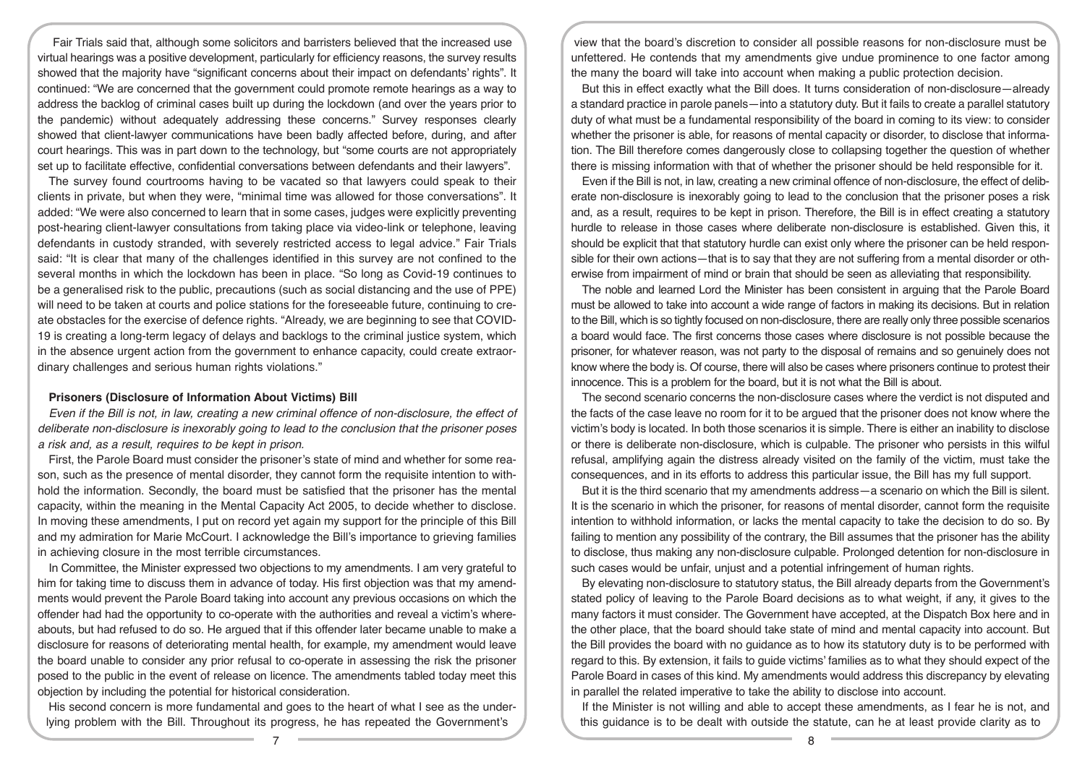Fair Trials said that, although some solicitors and barristers believed that the increased use virtual hearings was a positive development, particularly for efficiency reasons, the survey results showed that the majority have "significant concerns about their impact on defendants' rights". It continued: "We are concerned that the government could promote remote hearings as a way to address the backlog of criminal cases built up during the lockdown (and over the years prior to the pandemic) without adequately addressing these concerns." Survey responses clearly showed that client-lawyer communications have been badly affected before, during, and after court hearings. This was in part down to the technology, but "some courts are not appropriately set up to facilitate effective, confidential conversations between defendants and their lawyers".

The survey found courtrooms having to be vacated so that lawyers could speak to their clients in private, but when they were, "minimal time was allowed for those conversations". It added: "We were also concerned to learn that in some cases, judges were explicitly preventing post-hearing client-lawyer consultations from taking place via video-link or telephone, leaving defendants in custody stranded, with severely restricted access to legal advice." Fair Trials said: "It is clear that many of the challenges identified in this survey are not confined to the several months in which the lockdown has been in place. "So long as Covid-19 continues to be a generalised risk to the public, precautions (such as social distancing and the use of PPE) will need to be taken at courts and police stations for the foreseeable future, continuing to create obstacles for the exercise of defence rights. "Already, we are beginning to see that COVID-19 is creating a long-term legacy of delays and backlogs to the criminal justice system, which in the absence urgent action from the government to enhance capacity, could create extraordinary challenges and serious human rights violations."

## **Prisoners (Disclosure of Information About Victims) Bill**

*Even if the Bill is not, in law, creating a new criminal offence of non-disclosure, the effect of deliberate non-disclosure is inexorably going to lead to the conclusion that the prisoner poses a risk and, as a result, requires to be kept in prison.*

First, the Parole Board must consider the prisoner's state of mind and whether for some reason, such as the presence of mental disorder, they cannot form the requisite intention to withhold the information. Secondly, the board must be satisfied that the prisoner has the mental capacity, within the meaning in the Mental Capacity Act 2005, to decide whether to disclose. In moving these amendments, I put on record yet again my support for the principle of this Bill and my admiration for Marie McCourt. I acknowledge the Bill's importance to grieving families in achieving closure in the most terrible circumstances.

In Committee, the Minister expressed two objections to my amendments. I am very grateful to him for taking time to discuss them in advance of today. His first objection was that my amendments would prevent the Parole Board taking into account any previous occasions on which the offender had had the opportunity to co-operate with the authorities and reveal a victim's whereabouts, but had refused to do so. He argued that if this offender later became unable to make a disclosure for reasons of deteriorating mental health, for example, my amendment would leave the board unable to consider any prior refusal to co-operate in assessing the risk the prisoner posed to the public in the event of release on licence. The amendments tabled today meet this objection by including the potential for historical consideration.

His second concern is more fundamental and goes to the heart of what I see as the underlying problem with the Bill. Throughout its progress, he has repeated the Government's

view that the board's discretion to consider all possible reasons for non-disclosure must be unfettered. He contends that my amendments give undue prominence to one factor among the many the board will take into account when making a public protection decision.

But this in effect exactly what the Bill does. It turns consideration of non-disclosure—already a standard practice in parole panels—into a statutory duty. But it fails to create a parallel statutory duty of what must be a fundamental responsibility of the board in coming to its view: to consider whether the prisoner is able, for reasons of mental capacity or disorder, to disclose that information. The Bill therefore comes dangerously close to collapsing together the question of whether there is missing information with that of whether the prisoner should be held responsible for it.

Even if the Bill is not, in law, creating a new criminal offence of non-disclosure, the effect of deliberate non-disclosure is inexorably going to lead to the conclusion that the prisoner poses a risk and, as a result, requires to be kept in prison. Therefore, the Bill is in effect creating a statutory hurdle to release in those cases where deliberate non-disclosure is established. Given this, it should be explicit that that statutory hurdle can exist only where the prisoner can be held responsible for their own actions—that is to say that they are not suffering from a mental disorder or otherwise from impairment of mind or brain that should be seen as alleviating that responsibility.

The noble and learned Lord the Minister has been consistent in arguing that the Parole Board must be allowed to take into account a wide range of factors in making its decisions. But in relation to the Bill, which is so tightly focused on non-disclosure, there are really only three possible scenarios a board would face. The first concerns those cases where disclosure is not possible because the prisoner, for whatever reason, was not party to the disposal of remains and so genuinely does not know where the body is. Of course, there will also be cases where prisoners continue to protest their innocence. This is a problem for the board, but it is not what the Bill is about.

The second scenario concerns the non-disclosure cases where the verdict is not disputed and the facts of the case leave no room for it to be argued that the prisoner does not know where the victim's body is located. In both those scenarios it is simple. There is either an inability to disclose or there is deliberate non-disclosure, which is culpable. The prisoner who persists in this wilful refusal, amplifying again the distress already visited on the family of the victim, must take the consequences, and in its efforts to address this particular issue, the Bill has my full support.

But it is the third scenario that my amendments address—a scenario on which the Bill is silent. It is the scenario in which the prisoner, for reasons of mental disorder, cannot form the requisite intention to withhold information, or lacks the mental capacity to take the decision to do so. By failing to mention any possibility of the contrary, the Bill assumes that the prisoner has the ability to disclose, thus making any non-disclosure culpable. Prolonged detention for non-disclosure in such cases would be unfair, unjust and a potential infringement of human rights.

By elevating non-disclosure to statutory status, the Bill already departs from the Government's stated policy of leaving to the Parole Board decisions as to what weight, if any, it gives to the many factors it must consider. The Government have accepted, at the Dispatch Box here and in the other place, that the board should take state of mind and mental capacity into account. But the Bill provides the board with no guidance as to how its statutory duty is to be performed with regard to this. By extension, it fails to guide victims' families as to what they should expect of the Parole Board in cases of this kind. My amendments would address this discrepancy by elevating in parallel the related imperative to take the ability to disclose into account.

If the Minister is not willing and able to accept these amendments, as I fear he is not, and this guidance is to be dealt with outside the statute, can he at least provide clarity as to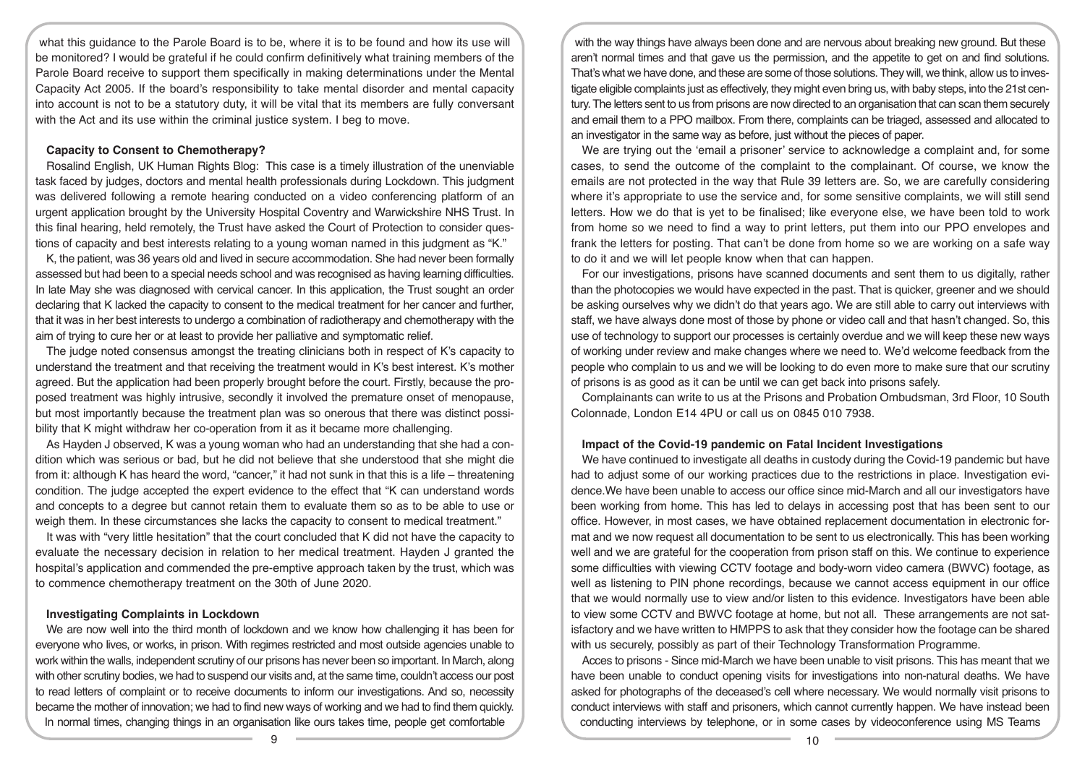what this guidance to the Parole Board is to be, where it is to be found and how its use will be monitored? I would be grateful if he could confirm definitively what training members of the Parole Board receive to support them specifically in making determinations under the Mental Capacity Act 2005. If the board's responsibility to take mental disorder and mental capacity into account is not to be a statutory duty, it will be vital that its members are fully conversant with the Act and its use within the criminal justice system. I beg to move.

# **Capacity to Consent to Chemotherapy?**

Rosalind English, UK Human Rights Blog: This case is a timely illustration of the unenviable task faced by judges, doctors and mental health professionals during Lockdown. This judgment was delivered following a remote hearing conducted on a video conferencing platform of an urgent application brought by the University Hospital Coventry and Warwickshire NHS Trust. In this final hearing, held remotely, the Trust have asked the Court of Protection to consider questions of capacity and best interests relating to a young woman named in this judgment as "K."

K, the patient, was 36 years old and lived in secure accommodation. She had never been formally assessed but had been to a special needs school and was recognised as having learning difficulties. In late May she was diagnosed with cervical cancer. In this application, the Trust sought an order declaring that K lacked the capacity to consent to the medical treatment for her cancer and further, that it was in her best interests to undergo a combination of radiotherapy and chemotherapy with the aim of trying to cure her or at least to provide her palliative and symptomatic relief.

The judge noted consensus amongst the treating clinicians both in respect of K's capacity to understand the treatment and that receiving the treatment would in K's best interest. K's mother agreed. But the application had been properly brought before the court. Firstly, because the proposed treatment was highly intrusive, secondly it involved the premature onset of menopause, but most importantly because the treatment plan was so onerous that there was distinct possibility that K might withdraw her co-operation from it as it became more challenging.

As Hayden J observed, K was a young woman who had an understanding that she had a condition which was serious or bad, but he did not believe that she understood that she might die from it: although K has heard the word, "cancer," it had not sunk in that this is a life – threatening condition. The judge accepted the expert evidence to the effect that "K can understand words and concepts to a degree but cannot retain them to evaluate them so as to be able to use or weigh them. In these circumstances she lacks the capacity to consent to medical treatment."

It was with "very little hesitation" that the court concluded that K did not have the capacity to evaluate the necessary decision in relation to her medical treatment. Hayden J granted the hospital's application and commended the pre-emptive approach taken by the trust, which was to commence chemotherapy treatment on the 30th of June 2020.

## **Investigating Complaints in Lockdown**

We are now well into the third month of lockdown and we know how challenging it has been for everyone who lives, or works, in prison. With regimes restricted and most outside agencies unable to work within the walls, independent scrutiny of our prisons has never been so important. In March, along with other scrutiny bodies, we had to suspend our visits and, at the same time, couldn't access our post to read letters of complaint or to receive documents to inform our investigations. And so, necessity became the mother of innovation; we had to find new ways of working and we had to find them quickly. In normal times, changing things in an organisation like ours takes time, people get comfortable

with the way things have always been done and are nervous about breaking new ground. But these aren't normal times and that gave us the permission, and the appetite to get on and find solutions. That's what we have done, and these are some of those solutions. They will, we think, allow us to investigate eligible complaints just as effectively, they might even bring us, with baby steps, into the 21st century. The letters sent to us from prisons are now directed to an organisation that can scan them securely and email them to a PPO mailbox. From there, complaints can be triaged, assessed and allocated to an investigator in the same way as before, just without the pieces of paper.

We are trying out the 'email a prisoner' service to acknowledge a complaint and, for some cases, to send the outcome of the complaint to the complainant. Of course, we know the emails are not protected in the way that Rule 39 letters are. So, we are carefully considering where it's appropriate to use the service and, for some sensitive complaints, we will still send letters. How we do that is yet to be finalised; like everyone else, we have been told to work from home so we need to find a way to print letters, put them into our PPO envelopes and frank the letters for posting. That can't be done from home so we are working on a safe way to do it and we will let people know when that can happen.

For our investigations, prisons have scanned documents and sent them to us digitally, rather than the photocopies we would have expected in the past. That is quicker, greener and we should be asking ourselves why we didn't do that years ago. We are still able to carry out interviews with staff, we have always done most of those by phone or video call and that hasn't changed. So, this use of technology to support our processes is certainly overdue and we will keep these new ways of working under review and make changes where we need to. We'd welcome feedback from the people who complain to us and we will be looking to do even more to make sure that our scrutiny of prisons is as good as it can be until we can get back into prisons safely.

Complainants can write to us at the Prisons and Probation Ombudsman, 3rd Floor, 10 South Colonnade, London E14 4PU or call us on 0845 010 7938.

# **Impact of the Covid-19 pandemic on Fatal Incident Investigations**

We have continued to investigate all deaths in custody during the Covid-19 pandemic but have had to adjust some of our working practices due to the restrictions in place. Investigation evidence.We have been unable to access our office since mid-March and all our investigators have been working from home. This has led to delays in accessing post that has been sent to our office. However, in most cases, we have obtained replacement documentation in electronic format and we now request all documentation to be sent to us electronically. This has been working well and we are grateful for the cooperation from prison staff on this. We continue to experience some difficulties with viewing CCTV footage and body-worn video camera (BWVC) footage, as well as listening to PIN phone recordings, because we cannot access equipment in our office that we would normally use to view and/or listen to this evidence. Investigators have been able to view some CCTV and BWVC footage at home, but not all. These arrangements are not satisfactory and we have written to HMPPS to ask that they consider how the footage can be shared with us securely, possibly as part of their Technology Transformation Programme.

Acces to prisons - Since mid-March we have been unable to visit prisons. This has meant that we have been unable to conduct opening visits for investigations into non-natural deaths. We have asked for photographs of the deceased's cell where necessary. We would normally visit prisons to conduct interviews with staff and prisoners, which cannot currently happen. We have instead been conducting interviews by telephone, or in some cases by videoconference using MS Teams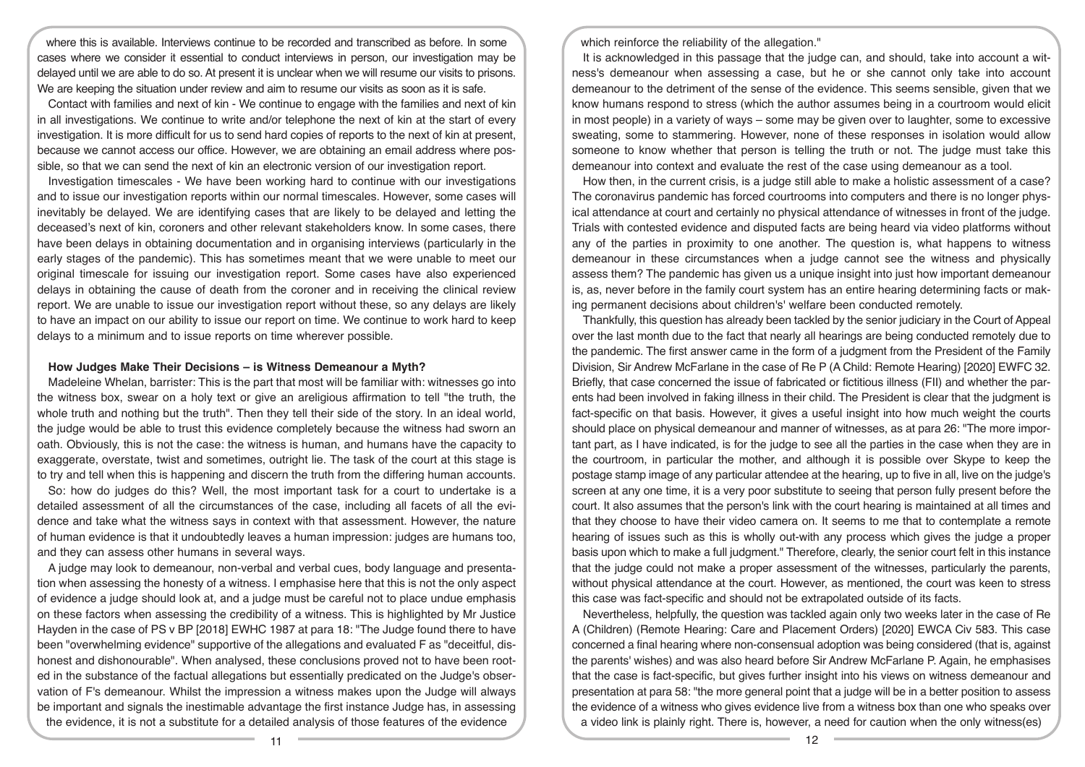where this is available. Interviews continue to be recorded and transcribed as before. In some cases where we consider it essential to conduct interviews in person, our investigation may be delayed until we are able to do so. At present it is unclear when we will resume our visits to prisons. We are keeping the situation under review and aim to resume our visits as soon as it is safe.

Contact with families and next of kin - We continue to engage with the families and next of kin in all investigations. We continue to write and/or telephone the next of kin at the start of every investigation. It is more difficult for us to send hard copies of reports to the next of kin at present, because we cannot access our office. However, we are obtaining an email address where possible, so that we can send the next of kin an electronic version of our investigation report.

Investigation timescales - We have been working hard to continue with our investigations and to issue our investigation reports within our normal timescales. However, some cases will inevitably be delayed. We are identifying cases that are likely to be delayed and letting the deceased's next of kin, coroners and other relevant stakeholders know. In some cases, there have been delays in obtaining documentation and in organising interviews (particularly in the early stages of the pandemic). This has sometimes meant that we were unable to meet our original timescale for issuing our investigation report. Some cases have also experienced delays in obtaining the cause of death from the coroner and in receiving the clinical review report. We are unable to issue our investigation report without these, so any delays are likely to have an impact on our ability to issue our report on time. We continue to work hard to keep delays to a minimum and to issue reports on time wherever possible.

## **How Judges Make Their Decisions – is Witness Demeanour a Myth?**

Madeleine Whelan, barrister: This is the part that most will be familiar with: witnesses go into the witness box, swear on a holy text or give an areligious affirmation to tell "the truth, the whole truth and nothing but the truth". Then they tell their side of the story. In an ideal world, the judge would be able to trust this evidence completely because the witness had sworn an oath. Obviously, this is not the case: the witness is human, and humans have the capacity to exaggerate, overstate, twist and sometimes, outright lie. The task of the court at this stage is to try and tell when this is happening and discern the truth from the differing human accounts.

So: how do judges do this? Well, the most important task for a court to undertake is a detailed assessment of all the circumstances of the case, including all facets of all the evidence and take what the witness says in context with that assessment. However, the nature of human evidence is that it undoubtedly leaves a human impression: judges are humans too, and they can assess other humans in several ways.

A judge may look to demeanour, non-verbal and verbal cues, body language and presentation when assessing the honesty of a witness. I emphasise here that this is not the only aspect of evidence a judge should look at, and a judge must be careful not to place undue emphasis on these factors when assessing the credibility of a witness. This is highlighted by Mr Justice Hayden in the case of PS v BP [2018] EWHC 1987 at para 18: "The Judge found there to have been "overwhelming evidence" supportive of the allegations and evaluated F as "deceitful, dishonest and dishonourable". When analysed, these conclusions proved not to have been rooted in the substance of the factual allegations but essentially predicated on the Judge's observation of F's demeanour. Whilst the impression a witness makes upon the Judge will always be important and signals the inestimable advantage the first instance Judge has, in assessing the evidence, it is not a substitute for a detailed analysis of those features of the evidence

which reinforce the reliability of the allegation."

It is acknowledged in this passage that the judge can, and should, take into account a witness's demeanour when assessing a case, but he or she cannot only take into account demeanour to the detriment of the sense of the evidence. This seems sensible, given that we know humans respond to stress (which the author assumes being in a courtroom would elicit in most people) in a variety of ways – some may be given over to laughter, some to excessive sweating, some to stammering. However, none of these responses in isolation would allow someone to know whether that person is telling the truth or not. The judge must take this demeanour into context and evaluate the rest of the case using demeanour as a tool.

How then, in the current crisis, is a judge still able to make a holistic assessment of a case? The coronavirus pandemic has forced courtrooms into computers and there is no longer physical attendance at court and certainly no physical attendance of witnesses in front of the judge. Trials with contested evidence and disputed facts are being heard via video platforms without any of the parties in proximity to one another. The question is, what happens to witness demeanour in these circumstances when a judge cannot see the witness and physically assess them? The pandemic has given us a unique insight into just how important demeanour is, as, never before in the family court system has an entire hearing determining facts or making permanent decisions about children's' welfare been conducted remotely.

Thankfully, this question has already been tackled by the senior judiciary in the Court of Appeal over the last month due to the fact that nearly all hearings are being conducted remotely due to the pandemic. The first answer came in the form of a judgment from the President of the Family Division, Sir Andrew McFarlane in the case of Re P (A Child: Remote Hearing) [2020] EWFC 32. Briefly, that case concerned the issue of fabricated or fictitious illness (FII) and whether the parents had been involved in faking illness in their child. The President is clear that the judgment is fact-specific on that basis. However, it gives a useful insight into how much weight the courts should place on physical demeanour and manner of witnesses, as at para 26: "The more important part, as I have indicated, is for the judge to see all the parties in the case when they are in the courtroom, in particular the mother, and although it is possible over Skype to keep the postage stamp image of any particular attendee at the hearing, up to five in all, live on the judge's screen at any one time, it is a very poor substitute to seeing that person fully present before the court. It also assumes that the person's link with the court hearing is maintained at all times and that they choose to have their video camera on. It seems to me that to contemplate a remote hearing of issues such as this is wholly out-with any process which gives the judge a proper basis upon which to make a full judgment." Therefore, clearly, the senior court felt in this instance that the judge could not make a proper assessment of the witnesses, particularly the parents, without physical attendance at the court. However, as mentioned, the court was keen to stress this case was fact-specific and should not be extrapolated outside of its facts.

Nevertheless, helpfully, the question was tackled again only two weeks later in the case of Re A (Children) (Remote Hearing: Care and Placement Orders) [2020] EWCA Civ 583. This case concerned a final hearing where non-consensual adoption was being considered (that is, against the parents' wishes) and was also heard before Sir Andrew McFarlane P. Again, he emphasises that the case is fact-specific, but gives further insight into his views on witness demeanour and presentation at para 58: "the more general point that a judge will be in a better position to assess the evidence of a witness who gives evidence live from a witness box than one who speaks over a video link is plainly right. There is, however, a need for caution when the only witness(es)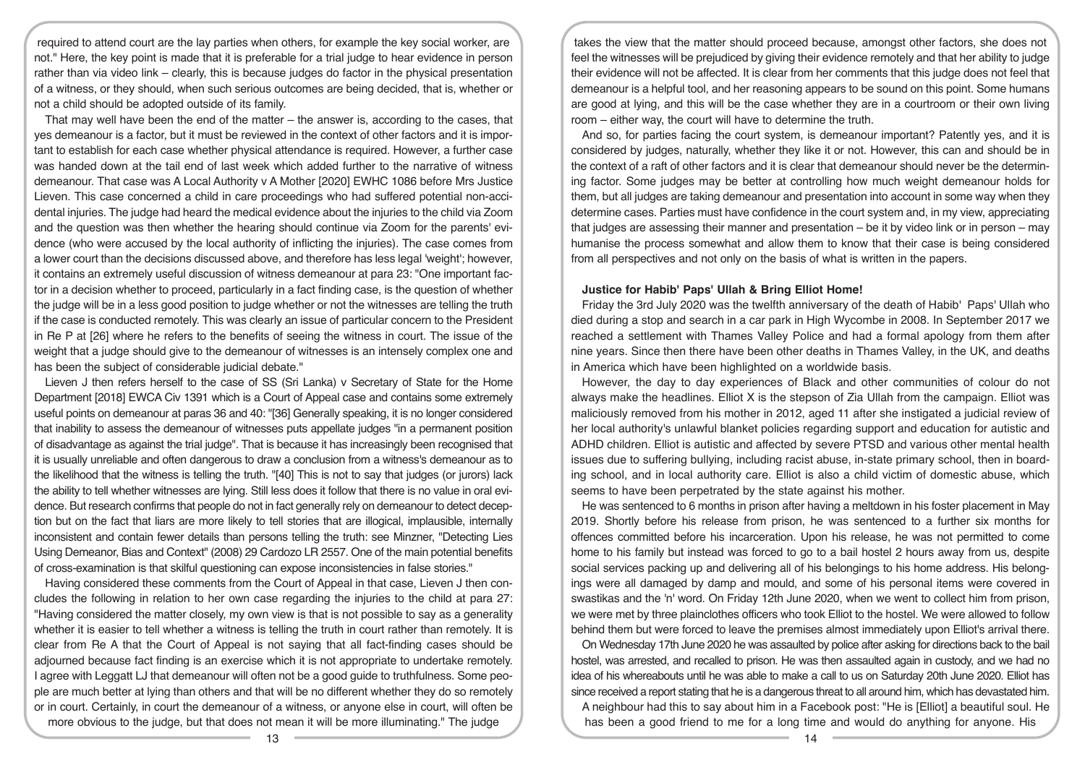required to attend court are the lay parties when others, for example the key social worker, are not." Here, the key point is made that it is preferable for a trial judge to hear evidence in person rather than via video link – clearly, this is because judges do factor in the physical presentation of a witness, or they should, when such serious outcomes are being decided, that is, whether or not a child should be adopted outside of its family.

That may well have been the end of the matter – the answer is, according to the cases, that yes demeanour is a factor, but it must be reviewed in the context of other factors and it is important to establish for each case whether physical attendance is required. However, a further case was handed down at the tail end of last week which added further to the narrative of witness demeanour. That case was A Local Authority v A Mother [2020] EWHC 1086 before Mrs Justice Lieven. This case concerned a child in care proceedings who had suffered potential non-accidental injuries. The judge had heard the medical evidence about the injuries to the child via Zoom and the question was then whether the hearing should continue via Zoom for the parents' evidence (who were accused by the local authority of inflicting the injuries). The case comes from a lower court than the decisions discussed above, and therefore has less legal 'weight'; however, it contains an extremely useful discussion of witness demeanour at para 23: "One important factor in a decision whether to proceed, particularly in a fact finding case, is the question of whether the judge will be in a less good position to judge whether or not the witnesses are telling the truth if the case is conducted remotely. This was clearly an issue of particular concern to the President in Re P at [26] where he refers to the benefits of seeing the witness in court. The issue of the weight that a judge should give to the demeanour of witnesses is an intensely complex one and has been the subject of considerable judicial debate."

Lieven J then refers herself to the case of SS (Sri Lanka) v Secretary of State for the Home Department [2018] EWCA Civ 1391 which is a Court of Appeal case and contains some extremely useful points on demeanour at paras 36 and 40: "[36] Generally speaking, it is no longer considered that inability to assess the demeanour of witnesses puts appellate judges "in a permanent position of disadvantage as against the trial judge". That is because it has increasingly been recognised that it is usually unreliable and often dangerous to draw a conclusion from a witness's demeanour as to the likelihood that the witness is telling the truth. "[40] This is not to say that judges (or jurors) lack the ability to tell whether witnesses are lying. Still less does it follow that there is no value in oral evidence. But research confirms that people do not in fact generally rely on demeanour to detect deception but on the fact that liars are more likely to tell stories that are illogical, implausible, internally inconsistent and contain fewer details than persons telling the truth: see Minzner, "Detecting Lies Using Demeanor, Bias and Context" (2008) 29 Cardozo LR 2557. One of the main potential benefits of cross-examination is that skilful questioning can expose inconsistencies in false stories."

Having considered these comments from the Court of Appeal in that case, Lieven J then concludes the following in relation to her own case regarding the injuries to the child at para 27: "Having considered the matter closely, my own view is that is not possible to say as a generality whether it is easier to tell whether a witness is telling the truth in court rather than remotely. It is clear from Re A that the Court of Appeal is not saying that all fact-finding cases should be adjourned because fact finding is an exercise which it is not appropriate to undertake remotely. I agree with Leggatt LJ that demeanour will often not be a good guide to truthfulness. Some people are much better at lying than others and that will be no different whether they do so remotely or in court. Certainly, in court the demeanour of a witness, or anyone else in court, will often be more obvious to the judge, but that does not mean it will be more illuminating." The judge

takes the view that the matter should proceed because, amongst other factors, she does not feel the witnesses will be prejudiced by giving their evidence remotely and that her ability to judge their evidence will not be affected. It is clear from her comments that this judge does not feel that demeanour is a helpful tool, and her reasoning appears to be sound on this point. Some humans are good at lying, and this will be the case whether they are in a courtroom or their own living room – either way, the court will have to determine the truth.

And so, for parties facing the court system, is demeanour important? Patently yes, and it is considered by judges, naturally, whether they like it or not. However, this can and should be in the context of a raft of other factors and it is clear that demeanour should never be the determining factor. Some judges may be better at controlling how much weight demeanour holds for them, but all judges are taking demeanour and presentation into account in some way when they determine cases. Parties must have confidence in the court system and, in my view, appreciating that judges are assessing their manner and presentation – be it by video link or in person – may humanise the process somewhat and allow them to know that their case is being considered from all perspectives and not only on the basis of what is written in the papers.

## **Justice for Habib' Paps' Ullah & Bring Elliot Home!**

Friday the 3rd July 2020 was the twelfth anniversary of the death of Habib' Paps' Ullah who died during a stop and search in a car park in High Wycombe in 2008. In September 2017 we reached a settlement with Thames Valley Police and had a formal apology from them after nine years. Since then there have been other deaths in Thames Valley, in the UK, and deaths in America which have been highlighted on a worldwide basis.

However, the day to day experiences of Black and other communities of colour do not always make the headlines. Elliot X is the stepson of Zia Ullah from the campaign. Elliot was maliciously removed from his mother in 2012, aged 11 after she instigated a judicial review of her local authority's unlawful blanket policies regarding support and education for autistic and ADHD children. Elliot is autistic and affected by severe PTSD and various other mental health issues due to suffering bullying, including racist abuse, in-state primary school, then in boarding school, and in local authority care. Elliot is also a child victim of domestic abuse, which seems to have been perpetrated by the state against his mother.

He was sentenced to 6 months in prison after having a meltdown in his foster placement in May 2019. Shortly before his release from prison, he was sentenced to a further six months for offences committed before his incarceration. Upon his release, he was not permitted to come home to his family but instead was forced to go to a bail hostel 2 hours away from us, despite social services packing up and delivering all of his belongings to his home address. His belongings were all damaged by damp and mould, and some of his personal items were covered in swastikas and the 'n' word. On Friday 12th June 2020, when we went to collect him from prison, we were met by three plainclothes officers who took Elliot to the hostel. We were allowed to follow behind them but were forced to leave the premises almost immediately upon Elliot's arrival there.

On Wednesday 17th June 2020 he was assaulted by police after asking for directions back to the bail hostel, was arrested, and recalled to prison. He was then assaulted again in custody, and we had no idea of his whereabouts until he was able to make a call to us on Saturday 20th June 2020. Elliot has since received a report stating that he is a dangerous threat to all around him, which has devastated him. A neighbour had this to say about him in a Facebook post: "He is [Elliot] a beautiful soul. He has been a good friend to me for a long time and would do anything for anyone. His